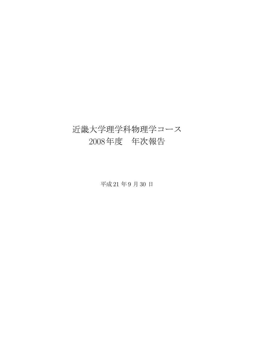# 近畿大学理学科物理学コース

2008年度 年次報告

平成 21 年 9 月 30 日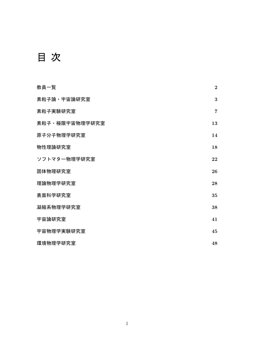# 目 次

| 教員一覧           | $\overline{2}$ |
|----------------|----------------|
| 素粒子論・宇宙論研究室    | 3              |
| 素粒子実験研究室       | $\overline{7}$ |
| 素粒子·極限宇宙物理学研究室 | 13             |
| 原子分子物理学研究室     | 14             |
| 物性理論研究室        | 18             |
| ソフトマター物理学研究室   | 22             |
| 固体物理研究室        | 26             |
| 理論物理学研究室       | 28             |
| 表面科学研究室        | 35             |
| 凝縮系物理学研究室      | 38             |
| 宇宙論研究室         | 41             |
| 宇宙物理学実験研究室     | 45             |
| 環境物理学研究室       | 48             |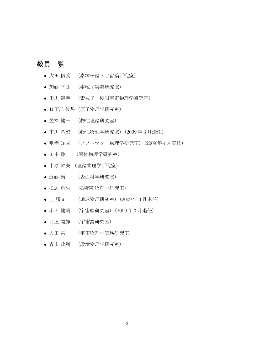## 教員一覧

- 太田 信義 (素粒子論・宇宙論研究室)
- 加藤 幸弘 (素粒子実験研究室)
- 千川 道幸 (素粒子・極限宇宙物理学研究室)
- 日下部 俊男(原子物理学研究室)
- 笠松 健一 (物性理論研究室)
- 市川 希望 (物性物理学研究室)(2009 年 3 月退任)
- 堂寺 知成 (ソフトマター物理学研究室)(2009 年 4 月着任)
- 田中 聰 (固体物理学研究室)
- 中原 幹夫 (理論物理学研究室)
- 近藤 康 (表面科学研究室)
- 松居 哲生 (凝縮系物理学研究室)
- 辻 勝文 (地球物理研究室)(2009 年 3 月退任)
- 小西 健陽 (宇宙線研究室)(2009 年 3 月退任)
- 井上 開輝 (宇宙論研究室)
- 大田 泉 (宇宙物理学実験研究室)
- 青山 政利 (環境物理学研究室)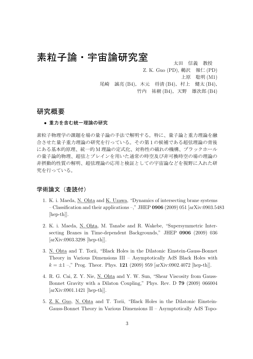## 素粒子論・宇宙論研究室 $\sum_{\tiny {\sf x}\text{\tiny E}}$

Z. K. Guo (PD), 鵜沢 報仁 (PD)

上原 聡明 (M1)

尾崎 誠亮 (B4), 木元 将清 (B4), 村上 健太 (B4),

竹内 祐樹 (B4), 天野 雄次郎 (B4)

### 研究概要

### • 重力を含む統一理論の研究

素粒子物理学の課題を場の量子論の手法で解明する。特に、量子論と重力理論を融 合させた量子重力理論の研究を行っている。その第 1 の候補である超弦理論の背後 にある基本的原理、統一的 M 理論の定式化、対称性の破れの機構、ブラックホール の量子論的物理、超弦とブレインを用いた通常の時空及び非可換時空の場の理論の 非摂動的性質の解明、超弦理論の応用と検証としての宇宙論などを視野に入れた研 究を行っている。

### 学術論文(査読付)

- 1. K. i. Maeda, N. Ohta and K. Uzawa, "Dynamics of intersecting brane systems – Classification and their applications –," JHEP  $0906$  (2009) 051 [arXiv:0903.5483 [hep-th]].
- 2. K. i. Maeda, N. Ohta, M. Tanabe and R. Wakebe, "Supersymmetric Intersecting Branes in Time-dependent Backgrounds," JHEP 0906 (2009) 036 [arXiv:0903.3298 [hep-th]].
- 3. N. Ohta and T. Torii, "Black Holes in the Dilatonic Einstein-Gauss-Bonnet Theory in Various Dimensions III – Asymptotically AdS Black Holes with  $k = \pm 1$ ," Prog. Theor. Phys. 121 (2009) 959 [arXiv:0902.4072 [hep-th]].
- 4. R. G. Cai, Z. Y. Nie, N. Ohta and Y. W. Sun, "Shear Viscosity from Gauss-Bonnet Gravity with a Dilaton Coupling," Phys. Rev. D 79 (2009) 066004 [arXiv:0901.1421 [hep-th]].
- 5. Z. K. Guo, N. Ohta and T. Torii, "Black Holes in the Dilatonic Einstein-Gauss-Bonnet Theory in Various Dimensions II – Asymptotically AdS Topo-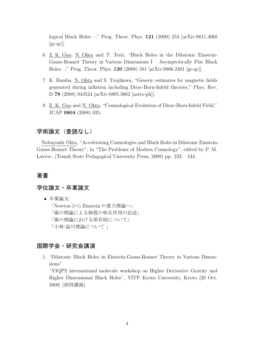logical Black Holes –," Prog. Theor. Phys. 121 (2009) 253 [arXiv:0811.3068  $\left[\text{gr-qc}\right]$ .

- 6. Z. K. Guo, N. Ohta and T. Torii, "Black Holes in the Dilatonic Einstein-Gauss-Bonnet Theory in Various Dimensions I – Asymptotically Flat Black Holes –," Prog. Theor. Phys. 120 (2008) 581 [arXiv:0806.2481 [gr-qc]].
- 7. K. Bamba, N. Ohta and S. Tsujikawa, "Generic estimates for magnetic fields generated during inflation including Dirac-Born-Infeld theories," Phys. Rev. D 78 (2008) 043524 [arXiv:0805.3862 [astro-ph]].
- 8. Z. K. Guo and N. Ohta, "Cosmological Evolution of Dirac-Born-Infeld Field," JCAP 0804 (2008) 035.

### 学術論文 (査読なし)

Nobuyoshi Ohta, "Accelerating Cosmologies and Black Holes in Dilatonic Einstein-Gauss-Bonnet Theory", in "The Problems of Modern Cosmology", edited by P. M. Lavrov, (Tomsk State Pedagogical University Press, 2009) pp. 233 – 244.

### 著書

### 学位論文・卒業論文

• 卒業論文:

「Newton から Einstein の重力理論へ」 「場の理論による物質の相互作用の記述」 「場の理論における保存則について」 「小林-益川理論について」

### 国際学会・研究会講演

1. "Dilatonic Black Holes in Einstein-Gauss-Bonnet Theory in Various Dimensions"

"YIQPS international molecule workshop on Higher Derivative Gravity and Higher Dimensional Black Holes", YITP Kyoto University, Kyoto [20 Oct. 2008] (招待講演)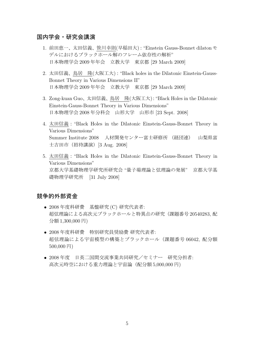### 国内学会・研究会講演

- 1. 前田恵一、太田信義、笹川幸則(早稲田大):"Einstein Gauss-Bonnet dilaton モ デルにおけるブラックホール解のフレーム依存性の解析" 日本物理学会 2009 年年会 立教大学 東京都 [29 March 2009]
- 2. 太田信義、鳥居 隆(大阪工大):"Black holes in the Dilatonic Einstein-Gauss-Bonnet Theory in Various Dimensions II" 日本物理学会 2009 年年会 立教大学 東京都 [29 March 2009]
- 3. Zong-kuan Guo、太田信義、鳥居 隆(大阪工大):"Black Holes in the Dilatonic Einstein-Gauss-Bonnet Theory in Various Dimensions" 日本物理学会 2008 年分科会 山形大学 山形市 [23 Sept. 2008]
- 4. 太田信義:"Black Holes in the Dilatonic Einstein-Gauss-Bonnet Theory in Various Dimensions" Summer Institute 2008 人材開発センター富士研修所 (経団連) 山梨県富 士吉田市(招待講演)[3 Aug. 2008]
- 5. 太田信義:"Black Holes in the Dilatonic Einstein-Gauss-Bonnet Theory in Various Dimensions" 京都大学基礎物理学研究所研究会 "量子場理論と弦理論の発展" 京都大学基 礎物理学研究所 [31 July 2008]

### 競争的外部資金

- 2008 年度科研費 基盤研究 (C) 研究代表者: 超弦理論による高次元ブラックホールと特異点の研究(課題番号 20540283, 配 分額 1,300,000 円)
- 2008 年度科研費 特別研究員奨励費 研究代表者: 超弦理論による宇宙模型の構築とブラックホール(課題番号 06042, 配分額 500,000 円)
- 2008年度 日英二国間交流事業共同研究/セミナー 研究分担者: 高次元時空における重力理論と宇宙論(配分額 5,000,000 円)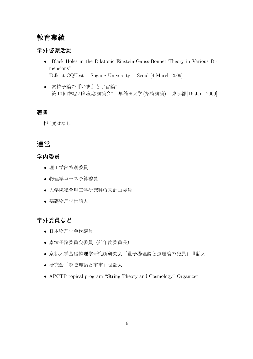## 教育業績

### 学外啓蒙活動

• "Black Holes in the Dilatonic Einstein-Gauss-Bonnet Theory in Various Dimensions"

Talk at CQUest Sogang University Seoul [4 March 2009]

• "素粒子論の『いま』と宇宙論" "第10回林忠四郎記念講演会" 早稲田大学(招待講演) 東京都[16 Jan. 2009]

### 著書

昨年度はなし

## 運営

### 学内委員

- 理工学部特別委員
- 物理学コース予算委員
- 大学院総合理工学研究科将来計画委員
- 基礎物理学世話人

## 学外委員など

- 日本物理学会代議員
- 素粒子論委員会委員(前年度委員長)
- 京都大学基礎物理学研究所研究会「量子場理論と弦理論の発展」世話人
- 研究会「超弦理論と宇宙」世話人
- APCTP topical program "String Theory and Cosmology" Organizer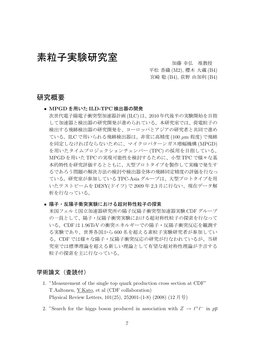## 素粒子実験研究室 加藤 幸弘 准教授

平松 香織 (M2), 櫻木 大蔵 (B4) 宮崎 聡 (B4), 荻野 由加利 (B4)

### 研究概要

• MPGD を用いた ILD-TPC 検出器の開発

次世代電子陽電子衝突型加速器計画 (ILC) は、2010 年代後半の実験開始を目指 して加速器と検出器の研究開発が進められている。本研究室では、荷電粒子の 検出する飛跡検出器の研究開発を、ヨーロッパとアジアの研究者と共同で進め ている。ILC で用いられる飛跡検出器は、非常に高精度 (100 µm 程度) で飛跡 を同定しなければならないために、マイクロパターンガス増幅機構 (MPGD) を用いたタイムプロジェクションチェンバー (TPC) の採用を目指している。 MPGD を用いた TPC の実現可能性を検討するために、小型 TPC で様々な基 本的特性を研究評価するとともに、大型プロトタイプを製作して実機で発生す るであろう問題の解決方法の検討や検出器全体の飛跡同定精度の評価を行なっ ている。研究室が参加している TPC-Asia グループは、大型プロトタイプを用 いたテストビームを DESY(ドイツ) で 2009 年 2,3 月に行ない、現在データ解 析を行なっている。

#### • 陽子・反陽子衝突実験における超対称性粒子の探索

米国フェルミ国立加速器研究所の陽子反陽子衝突型加速器実験 CDF グループ の一員として、陽子・反陽子衝突実験における超対称性粒子の探索を行なって いる。CDF は 1.96TeV の衝突エネルギーでの陽子・反陽子衝突反応を観測す る実験であり、世界各国から 600 名を超える素粒子実験研究者が参加してい る。CDF では様々な陽子・反陽子衝突反応の研究が行なわれているが、当研 究室では標準理論を超える新しい理論として有望な超対称性理論が予言する 粒子の探索を主に行なっている。

### 学術論文(査読付)

- 1. "Measurement of the single top quark production cross section at CDF" T.Aaltonen, Y.Kato, et al (CDF collaboration) Physical Review Letters, 101(25), 252001-(1-8) (2008) (12 月号)
- 2. "Search for the higgs boson produced in association with  $Z \to \ell^+ \ell^-$  in  $p\bar{p}$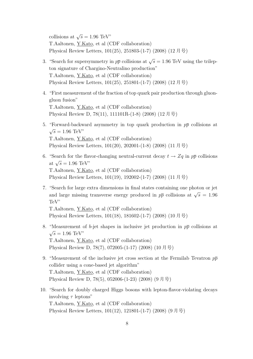collisions at  $\sqrt{s} = 1.96$  TeV" T.Aaltonen, Y.Kato, et al (CDF collaboration) Physical Review Letters, 101(25), 251803-(1-7) (2008) (12 月号)

- 3. "Search for supersymmetry in  $p\bar{p}$  collisions at  $\sqrt{s} = 1.96$  TeV using the trilepton signature of Chargino-Neutralino production" T.Aaltonen, Y.Kato, et al (CDF collaboration) Physical Review Letters, 101(25), 251801-(1-7) (2008) (12 月号)
- 4. "First measurement of the fraction of top quark pair production through gluongluon fusion" T.Aaltonen, Y.Kato, et al (CDF collaboration) Physical Review D, 78(11), 111101R-(1-8) (2008) (12 月号)
- 5. "Forward-backward asymmetry in top quark production in  $p\bar{p}$  collisions at √  $\overline{s} = 1.96 \text{ TeV}^n$ T.Aaltonen, Y.Kato, et al (CDF collaboration) Physical Review Letters, 101(20), 202001-(1-8) (2008) (11 月号)
- 6. "Search for the flavor-changing neutral-current decay  $t \to Zq$  in  $p\bar{p}$  collisions at  $\sqrt{s} = 1.96 \text{ TeV}$ " T.Aaltonen, Y.Kato, et al (CDF collaboration) Physical Review Letters, 101(19), 192002-(1-7) (2008) (11 月号)
- 7. "Search for large extra dimensions in final states containing one photon or jet and large missing transverse energy produced in  $p\bar{p}$  collisions at  $\sqrt{s} = 1.96$ TeV"

T.Aaltonen, Y.Kato, et al (CDF collaboration) Physical Review Letters, 101(18), 181602-(1-7) (2008) (10 月号)

- 8. "Measurement of b-jet shapes in inclusive jet production in  $p\bar{p}$  collisions at √  $\overline{s} = 1.96 \text{ TeV}^n$ T.Aaltonen, Y.Kato, et al (CDF collaboration) Physical Review D, 78(7), 072005-(1-17) (2008) (10 月号)
- 9. "Measurement of the inclusive jet cross section at the Fermilab Tevatron  $p\bar{p}$ collider using a cone-based jet algorithm" T.Aaltonen, Y.Kato, et al (CDF collaboration) Physical Review D, 78(5), 052006-(1-23) (2008) (9 月号)
- 10. "Search for doubly charged Higgs bosons with lepton-flavor-violating decays involving  $\tau$  leptons" T.Aaltonen, Y.Kato, et al (CDF collaboration) Physical Review Letters, 101(12), 121801-(1-7) (2008) (9 月号)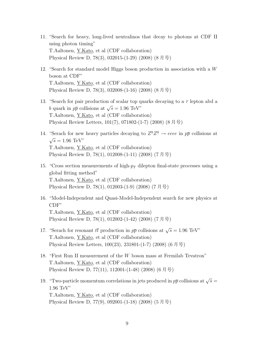- 11. "Search for heavy, long-lived neutralinos that decay to photons at CDF II using photon timing" T.Aaltonen, Y.Kato, et al (CDF collaboration) Physical Review D, 78(3), 032015-(1-29) (2008) (8 月号)
- 12. "Search for standard model Higgs boson production in association with a W boson at CDF" T.Aaltonen, Y.Kato, et al (CDF collaboration) Physical Review D, 78(3), 032008-(1-16) (2008) (8 月号)
- 13. "Search for pair production of scalar top quarks decaying to a  $\tau$  lepton abd a b quark in  $p\bar{p}$  collisions at  $\sqrt{s} = 1.96$  TeV" T.Aaltonen, Y.Kato, et al (CDF collaboration) Physical Review Letters, 101(7), 071802-(1-7) (2008) (8 月号)
- 14. "Serach for new heavy particles decaying to  $Z^0 Z^0 \to eeee$  in  $p\bar{p}$  collisions at √  $\overline{s} = 1.96 \text{ TeV}$ " T.Aaltonen, Y.Kato, et al (CDF collaboration) Physical Review D, 78(1), 012008-(1-11) (2008) (7 月号)
- 15. "Cross section measurements of high- $p_T$  dilepton final-state processes using a global fitting method" T.Aaltonen, Y.Kato, et al (CDF collaboration) Physical Review D, 78(1), 012003-(1-9) (2008) (7 月号)
- 16. "Model-Independent and Quasi-Model-Independent search for new physics at CDF" T.Aaltonen, Y.Kato, et al (CDF collaboration) Physical Review D, 78(1), 012002-(1-42) (2008) (7 月号)
- 17. "Serach for resonant  $t\bar{t}$  production in  $p\bar{p}$  collisions at  $\sqrt{s} = 1.96 \text{ TeV}$ " T.Aaltonen, Y.Kato, et al (CDF collaboration) Physical Review Letters, 100(23), 231801-(1-7) (2008) (6 月号)
- 18. "First Run II measurement of the W boson mass at Fermilab Tevatron" T.Aaltonen, Y.Kato, et al (CDF collaboration) Physical Review D, 77(11), 112001-(1-48) (2008) (6 月号)
- 19. "Two-particle momentum correlations in jets produced in  $p\bar{p}$  collisions at  $\sqrt{s} =$ 1.96 TeV" T.Aaltonen, Y.Kato, et al (CDF collaboration) Physical Review D, 77(9), 092001-(1-18) (2008) (5 月号)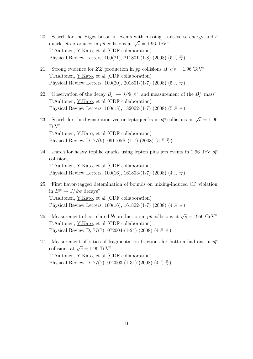- 20. "Search for the Higgs boson in events with missing transeverse energy and b quark jets produced in  $p\bar{p}$  collisions at  $\sqrt{s} = 1.96 \text{ TeV}^n$ T.Aaltonen, Y.Kato, et al (CDF collaboration) Physical Review Letters, 100(21), 211801-(1-8) (2008) (5 月号)
- 21. "Strong evidence for ZZ production in  $p\bar{p}$  collisions at  $\sqrt{s} = 1.96$  TeV" T.Aaltonen, Y.Kato, et al (CDF collaboration) Physical Review Letters, 100(20), 201801-(1-7) (2008) (5 月号)
- 22. "Observation of the decay  $B_c^{\pm} \to J/\Psi \pi^{\pm}$  and measurement of the  $B_c^{\pm}$  mass" T.Aaltonen, Y.Kato, et al (CDF collaboration) Physical Review Letters, 100(18), 182002-(1-7) (2008) (5 月号)
- 23. "Search for third generation vector leptoquarks in  $p\bar{p}$  collisions at  $\sqrt{s} = 1.96$ TeV" T.Aaltonen, Y.Kato, et al (CDF collaboration) Physical Review D, 77(9), 091105R-(1-7) (2008) (5 月号)
- 24. "search for heavy toplike quarks using lepton plus jets events in 1.96 TeV  $p\bar{p}$ collisions" T.Aaltonen, Y.Kato, et al (CDF collaboration) Physical Review Letters, 100(16), 161803-(1-7) (2008) (4 月号)
- 25. "First flavor-tagged detemination of bounds on mixing-induced CP violation in  $B_0^{\pm} \to J/\Psi \phi$  decays" T.Aaltonen, Y.Kato, et al (CDF collaboration) Physical Review Letters, 100(16), 161802-(1-7) (2008) (4 月号)
- 26. "Measurement of correlated  $b\bar{b}$  production in  $p\bar{p}$  collisions at  $\sqrt{s} = 1960 \text{ GeV}$ " T.Aaltonen, Y.Kato, et al (CDF collaboration) Physical Review D, 77(7), 072004-(1-24) (2008) (4 月号)
- 27. "Measurement of ratios of fragmentation fractions for bottom hadrons in  $p\bar{p}$ collisions at  $\sqrt{s} = 1.96 \text{ TeV}$ " T.Aaltonen, Y.Kato, et al (CDF collaboration) Physical Review D, 77(7), 072003-(1-31) (2008) (4 月号)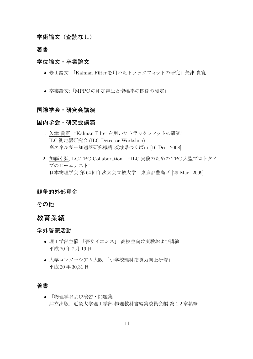### 学術論文 (査読なし)

### 著書

### 学位論文・卒業論文

- 修士論文:「Kalman Filter を用いたトラックフィットの研究」矢津 貴寛
- 卒業論文: 「MPPCの印加雷圧と増幅率の関係の測定」

### 国際学会・研究会講演

### 国内学会・研究会講演

- 1. 矢津 貴寛: "Kalman Filter を用いたトラックフィットの研究" ILC 測定器研究会 (ILC Detector Workshop) 高エネルギー加速器研究機構 茨城県つくば市 [16 Dec. 2008]
- 2. 加藤幸弘, LC-TPC Collaboration : "ILC 実験のための TPC 大型プロトタイ プのビームテスト" 日本物理学会 第 64 回年次大会立教大学 東京都豊島区 [29 Mar. 2009]

### 競争的外部資金

### その他

## 教育業績

### 学外啓蒙活動

- 理工学部主催 「夢サイエンス」 高校生向け実験および講演 平成 20 年 7 月 19 日
- 大学コンソーシアム大阪 「小学校理科指導力向上研修」 平成 20 年 30,31 日

### 著書

• 「物理学および演習・問題集」 共立出版、近畿大学理工学部 物理教科書編集委員会編 第 1,2 章執筆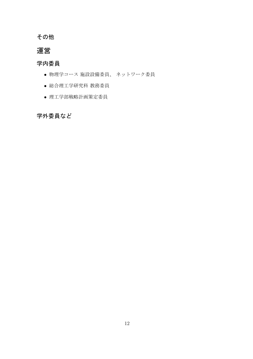## その他

## 運営

## 学内委員

- 物理学コース 施設設備委員、ネットワーク委員
- 総合理工学研究科 教務委員
- 理工学部戦略計画策定委員

## 学外委員など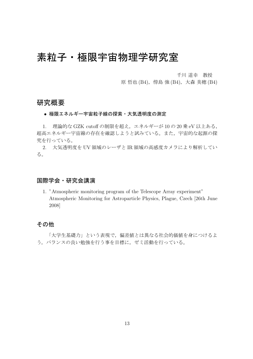## 素粒子・極限宇宙物理学研究室

千川 道幸 教授

原 哲也 (B4), 傍島 強 (B4), 大森 美穂 (B4)

### 研究概要

#### ● 極限エネルギー宇宙粒子線の探索・大気透明度の測定

1. 理論的な GZK cutoff の制限を超え,エネルギーが 10 の 20 乗 eV 以上ある, 超高エネルギー宇宙線の存在を確認しようと試みている。また,宇宙的な起源の探 究を行っている。

2. 大気透明度を UV 領域のレーザと IR 領域の高感度カメラにより解析してい る。

### 国際学会・研究会講演

1. "Atmospheric monitoring program of the Telescope Array experiment" Atmospheric Monitoring for Astroparticle Physics, Plague, Czech [26th June 2008]

### その他

 「大学生基礎力」という表現で,偏差値とは異なる社会的価値を身につけるよ う,バランスの良い勉強を行う事を目標に,ゼミ活動を行っている。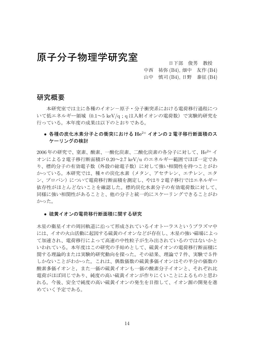## 原子分子物理学研究室  $\left.\vphantom{\sum_{X_X}^X}\right|_{\mathbb{R}}\mathbb{R}^{X \times \mathbb{R}}$

中西 祐弥 (B4), 畑中 友作 (B4)

### 山中 慎司 (B4), 日野 泰征 (B4)

### 研究概要

 本研究室では主に各種のイオン-原子・分子衝突系における電荷移行過程につ いて低エネルギー領域 (0.1~5 keV/q;qは入射イオンの電荷数)で実験的研究を 行っている。本年度の成果は以下のとおりである。

### $\bullet$  各種の炭化水素分子との衝突における  $\mathrm{He}^{2+}$  イオンの 2 電子移行断面積のス ケーリングの検討

2006 年の研究で、窒素、酸素、一酸化炭素、二酸化炭素の各分子に対して、He2+ イ オンによる 2 電子移行断面積が 0.20~2.7 keV/u のエネルギー範囲でほぼ一定であ り、標的分子の有効電子数(外殻の総電子数)に対して強い相関性を持つことがわ かっている。本研究では、種々の炭化水素(メタン、アセチレン、エチレン、エタ ン、プロパン)について電荷移行断面積を測定し、やはり 2 電子移行ではエネルギー 依存性がほとんどないことを確認した。標的炭化水素分子の有効電荷数に対して、 同様に強い相関性があることと、他の分子と統一的にスケーリングできることがわ かった。

#### • 硫黄イオンの電荷移行断面積に関する研究

木星の衛星イオの周回軌道に沿って形成されているイオトーラスというプラズマ中 には、イオの火山活動に起因する硫黄のイオンなどが存在し、木星の強い磁場によっ て加速され、電荷移行によって高速の中性粒子が生み出されているのではないかと いわれている。本年度はこの研究の手始めとして、硫黄イオンの電荷移行断面積に 関する理論的または実験的研究動向を探った。その結果、理論で7件、実験で5件 しかないことがわかった。これは、偶数価数の硫黄多価イオンはその半分の価数の 酸素多価イオンと,また一価の硫黄イオンも一価の酸素分子イオンと、それぞれ比 電荷がほぼ同じであり、純度の高い硫黄イオンが作りにくいことによるものと思わ れる。今後、安全で純度の高い硫黄イオンの発生を目指して、イオン源の開発を進 めていく予定である。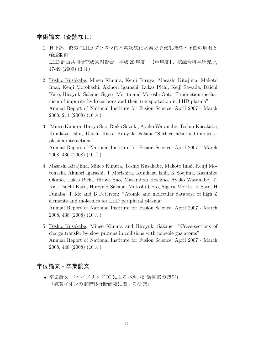### 学術論文(査読なし)

- 1. 日下部 俊男:"LHD プラズマ内不純物炭化水素分子発生機構・挙動の解明と 輸送制御" LHD 計画共同研究成果報告会 平成 20年度 【単年度】,核融合科学研究所, 47-49 (2009) (3 月)
- 2. Toshio Kusakabe, Mineo Kimura, Kenji Furuya, Masashi Kitajima, Makoto Imai, Kenji Motohashi, Akinori Igarashi, Lukas Pichl, Keiji Sawada, Daichi Kato, Hiroyuki Sakaue, Sigeru Morita and Motoshi Goto:"Production mechanism of impurity hydrocarbons and their transportation in LHD plasma" Annual Report of National Institute for Fusion Science, April 2007 - March 2008, 211 (2008) (10 月)
- 3. Mineo Kimura, Hiroya Sno, Reiko Suzuki, Ayako Watanabe, Toshio Kusakabe, Kunikazu Ishii, Daichi Kato, Hiroyuki Sakaue:"Surface adsorbed-impurityplasma interactions" Annual Report of National Institute for Fusion Science, April 2007 - March 2008, 436 (2008) (10 月)
- 4. Masashi Kitajima, Mineo Kimura, Toshio Kusakabe, Makoto Imai, Kenji Motohashi, Akinori Igarashi, T Morishita, Kunikazu Ishii, K Soejima, Kazuhiko Okuno, Lukas Pichl, Hiroya Sno, Masamitsu Hoshino, Ayako Watanabe, T. Kai, Daichi Kato, Hiroyuki Sakaue, Motoshi Goto, Sigeru Morita, K Sato, H Funaba, T Ido and B Peterson: "Atomic and molecular database of high Z elements and molecules for LHD peripheral plasma" Annual Report of National Institute for Fusion Science, April 2007 - March 2008, 438 (2008) (10 月)
- 5. Toshio Kusakabe, Mineo Kimura and Hiroyuki Sakaue: "Cross-sections of charge transfer by slow protons in collisions with nobeole gas atoms" Annual Report of National Institute for Fusion Science, April 2007 - March 2008, 448 (2008) (10 月)

### 学位論文・卒業論文

● 卒業論文: 「ハイブリッド IC によるパルス計数回路の製作」 「硫黄イオンの電荷移行断面積に関する研究」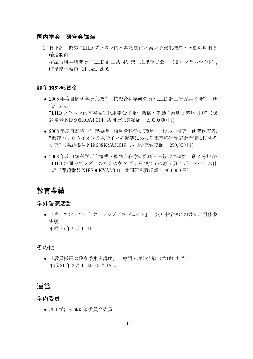### 国内学会・研究会講演

1. 日下部 俊男:"LHD プラズマ内不純物炭化水素分子発生機構・挙動の解明と 輸送制御" 核融合科学研究所, "LHD 計画共同研究 成果報告会 (2)プラズマ分野", 岐阜県土岐市 [14 Jan. 2009]

### 競争的外部資金

- 2008 年度自然科学研究機構・核融合科学研究所・LHD 計画研究共同研究 研 究代表者: "LHD プラズマ内不純物炭化水素分子発生機構・挙動の解明と輸送制御"(課 題番号 NIFS06KOAP014, 共同研究費総額 2,000,000 円)
- 2008 年度自然科学研究機構・核融合科学研究所・一般共同研究 研究代表者: "低速ヘリウムイオンの水分子との衝突における電荷移行反応断面積に関する 研究"(課題番号 NIFS08KYAM019, 共同研究費総額 250,000 円)
- 2008 年度自然科学研究機構・核融合科学研究所・一般共同研究 研究分担者: "LHD の周辺プラズマのための後 Z 原子及び分子の原子分子データベース作 成"(課題番号 NIFS06KYAM010, 共同研究費総額 800,000 円)

## 教育業績

### 学外啓蒙活動

● 「サイエンスパートナーシッププロジェクト」 弥刀中学校における理科体験 実験 平成 20 年 9 月 11 日

### その他

● 「教員採用試験春季集中講座」 専門・理科実験 (物理) 担当 平成 21 年 3 月 11 日~3 月 18 日

### 運営

### 学内委員

• 理工学部就職対策委員会委員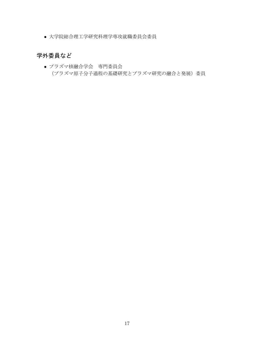• 大学院総合理工学研究科理学専攻就職委員会委員

## 学外委員など

• プラズマ核融合学会 専門委員会 (プラズマ原子分子過程の基礎研究とプラズマ研究の融合と発展)委員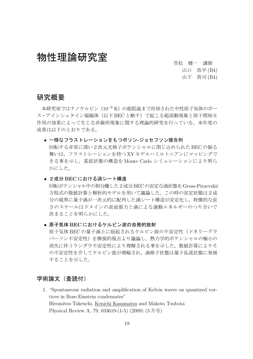## 物性理論研究室  $\qquad \qquad \sum_{\hat{x}\in\mathbb{Z}}\sum_{\hat{y}\in\mathbb{Z}}\mathbb{Z}^{m}$

### 山口 浩平 (B4)

山下 真司 (B4)

### 研究概要

本研究室ではナノケルビン(10<sup>−9</sup> K)の超低温まで冷却された中性原子気体のボー ス・アインシュタイン凝縮体(以下 BEC と略す)で起こる超流動現象と原子間相互 作用の効果によって生じる非線形現象に関する理論的研究を行っている。本年度の 成果は以下のとおりである。

● 一様なフラストレーションをもつボソン-ジョセフソン接合列

回転する非常に深い2次元光格子ポテンシャルに閉じ込められた BEC の振る 舞いは,フラストレーションを持つ XY モデルハミルトニアンにマッピングで きる事を示し,基底状態の構造を Monte Carlo シミュレーションにより明ら かにした。

#### ● 2成分 BEC における渦シート構造

回転ポテンシャル中の相分離した2成分BECの安定な渦状態をGross-Pitaevskii 方程式の数値計算と解析的モデルを用いて議論した。この時の安定状態は2成 分の境界に量子渦が一次元的に配列した渦シート構造が安定化し,特徴的な長 さのスケールはドメインの表面張力と渦による運動エネルギーのつり合いで 決まることを明らかにした。

### • 原子気体 BEC におけるケルビン波の自発的放射

原子気体 BEC の量子渦上に励起されるケルビン波の不安定性(ドネリーグラ バーソン不安定性)を微視的視点より議論し,熱力学的ポテンシャルの極小の 消失に伴うランダウ不安定性により理解される事を示した。数値計算によりそ の不安定性を介してケルビン波が増幅され、渦格子状態は量子乱流状態に発展 することを示した。

### 学術論文(査読付)

1. "Spontaneous radiation and amplification of Kelvin waves on quantized vortices in Bose-Einstein condensates" Hiromitsu Takeuchi, Kenichi Kasamatsu and Makoto Tsubota Physical Review A, 79, 033619-(1-5) (2009) (3 月号)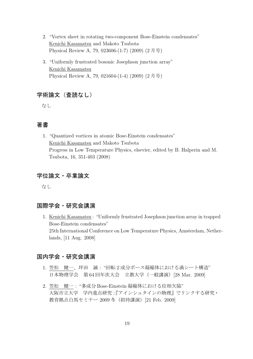- 2. "Vortex sheet in rotating two-component Bose-Einstein condensates" Kenichi Kasamatsu and Makoto Tsubota Physical Review A, 79, 023606-(1-7) (2009) (2 月号)
- 3. "Uniformly frustrated bosonic Josephson junction array" Kenichi Kasamatsu Physical Review A, 79, 021604-(1-4) (2009) (2 月号)

### 学術論文 (査読なし)

なし

### 著書

1. "Quantized vortices in atomic Bose-Einstein condensates" Kenichi Kasamatsu and Makoto Tsubota Progress in Low Temperature Physics, elsevier, edited by B. Halperin and M. Tsubota, 16, 351-403 (2008)

### 学位論文・卒業論文

なし

### 国際学会・研究会講演

1. Kenichi Kasamatsu : "Uniformly frustrated Josephson junction array in trapped Bose-Einstein condensates" 25th International Conference on Low Temperature Physics, Amsterdam, Netherlands, [11 Aug. 2008]

### 国内学会・研究会講演

- 1. 笠松 健一、坪田 誠 : "回転2成分ボース凝縮体における渦シート構造" 日本物理学会 第 64 回年次大会 立教大学(一般講演)[28 Mar. 2009]
- 2. 笠松 健一 : "多成分 Bose-Einstein 凝縮体における位相欠陥" 大阪市立大学 学内重点研究:『アインシュタインの物理』でリンクする研究・ 教育拠点白馬セミナー 2009 冬(招待講演)[21 Feb. 2009]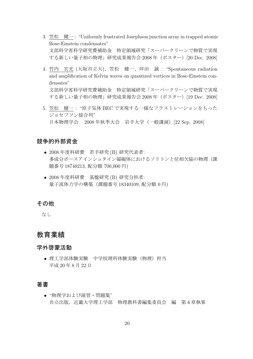- 3. 笠松 健一 : "Uniformly frustrated Josephson junction array in trapped atomic Bose-Einstein condensates" 文部科学省科学研究費補助金 特定領域研究「スーパークリーンで物質で実現 する新しい量子相の物理」研究成果報告会 2008 年(ポスター)[20 Dec. 2008]
- 4. 竹内 宏光 (大阪市立大)、笠松 健一、坪田 誠 : "Spontaneous radiation and amplification of Kelvin waves on quantized vortices in Bose-Einstein condensates" 文部科学省科学研究費補助金 特定領域研究「スーパークリーンで物質で実現 する新しい量子相の物理」研究成果報告会 2008年 (ポスター)[19 Dec. 2008]
- 5. 笠松 健一 : "原子気体 BEC で実現する一様なフラストレーションをもった ジョセフソン接合列" 日本物理学会 2008年秋季大会 岩手大学 (一般講演) [22 Sep. 2008]

### 競争的外部資金

- 2008 年度科研費 若手研究 (B) 研究代表者: 多成分ボースアインシュタイン凝縮体におけるソリトンと位相欠陥の物理(課 題番号 18740213, 配分額 700,000 円)
- 2008 年度科研費 基盤研究 (B) 研究分担者: 量子流体力学の構築(課題番号 18340109, 配分額 0 円)

### その他

なし

### 教育業績

### 学外啓蒙活動

● 理工学部体験実験 中学校理科体験実験(物理)担当 平成 20 年 8 月 22 日

### 著書

● "物理学および演習・問題集" 共立出版,近畿大学理工学部 物理教科書編集委員会 編 第4章執筆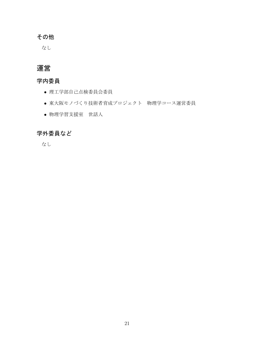## その他

なし

## 運営

## 学内委員

- 理工学部自己点検委員会委員
- 東大阪モノづくり技術者育成プロジェクト 物理学コース運営委員
- 物理学習支援室 世話人

## 学外委員など

なし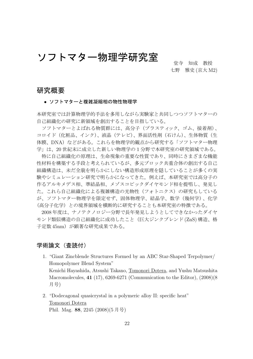# ソフトマター物理学研究室 きゅうきょう きゅうか

七野 雅史 (京大 M2)

### 研究概要

#### • ソフトマターと複雑凝縮相の物性物理学

本研究室では計算物理学的手法を多用しながら実験家と共同しつつソフトマターの 自己組織化の研究に新領域を創出することを目指している。

ソフトマターとよばれる物質群には、高分子(プラスティック、ゴム、接着剤)、 コロイド(化粧品、インク)、液晶(テレビ)、界面活性剤(石けん)、生体物質(生 体膜、DNA)などがある。これらを物理学的観点から研究する「ソフトマター物理 学」は、20 世紀末に成立した新しい物理学の1分野で本研究室の研究領域である。

特に自己組織化の原理は、生命現象の重要な性質であり、同時にさまざまな機能 性材料を構築する手段と考えられているが、多元ブロック共重合体の創出する自己 組織構造は、未だ全貌を明らかにしない構造形成原理を隠していることが多くの実 験やシミュレーション研究で明らかになってきた。例えば、本研究室では高分子の 作るアルキメデス相、準結晶相、メゾスコピックダイヤモンド相を提唱し、発見し た。これら自己組織化による複雑構造の光物性(フォトニクス)の研究もしている が、ソフトマター物理学を限定せず、固体物理学、結晶学、数学(幾何学)、化学 (高分子化学)との境界領域を横断的に研究することも本研究室の特徴である。

2008 年度は、ナノテクノロジー分野で長年発見しようとしてできなかったダイヤ モンド類似構造の自己組織化に成功したこと(巨大ジンクブレンド (ZnS) 構造、格 子定数 45nm)が顕著な研究成果である。

### 学術論文(査読付)

- 1. "Giant Zincblende Structures Formed by an ABC Star-Shaped Terpolymer/ Homopolymer Blend System" Kenichi Hayashida, Atsushi Takano, Tomonori Dotera, and Yushu Matsushita Macromolecules, 41 (17), 6269-6271 (Communication to the Editor), (2008)(8 月号)
- 2. "Dodecagonal quasicrystal in a polymeric alloy II: specific heat" Tomonori Dotera Phil. Mag. 88, 2245 (2008)(5 月号)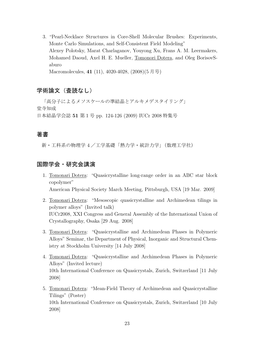3. "Pearl-Necklace Structures in Core-Shell Molecular Brushes: Experiments, Monte Carlo Simulations, and Self-Consistent Field Modeling" Alexey Polotsky, Marat Charlaganov, Youyong Xu, Frans A. M. Leermakers, Mohamed Daoud, Axel H. E. Mueller, Tomonori Dotera, and Oleg BorisovSaburo Macromolecules, 41 (11), 4020-4028, (2008)(5月号)

### 学術論文(査読なし)

「高分子によるメソスケールの準結晶とアルキメデスタイリング」 堂寺知成 日本結晶学会誌 51 第1号 pp. 124-126 (2009) IUCr 2008 特集号

### 著書

新・工科系の物理学 4 /工学基礎「熱力学・統計力学」(数理工学社)

### 国際学会・研究会講演

- 1. Tomonari Dotera: "Quasicrystalline long-range order in an ABC star block copolymer" American Physical Society March Meeting, Pittsburgh, USA [19 Mar. 2009]
- 2. Tomonari Dotera: "Mesoscopic quasicrystalline and Archimedean tilings in polymer alloys" (Invited talk) IUCr2008, XXI Congress and General Assembly of the International Union of Crystallography, Osaka [29 Aug. 2008]
- 3. Tomonari Dotera: "Quasicrystalline and Archimedean Phases in Polymeric Alloys" Seminar, the Department of Physical, Inorganic and Structural Chemistry at Stockholm University [14 July 2008]
- 4. Tomonari Dotera: "Quasicrystalline and Archimedean Phases in Polymeric Alloys" (Invited lecture) 10th International Conference on Quasicrystals, Zurich, Switzerland [11 July 2008]
- 5. Tomonari Dotera: "Mean-Field Theory of Archimedean and Quasicrystalline Tilings" (Poster) 10th International Conference on Quasicrystals, Zurich, Switzerland [10 July 2008]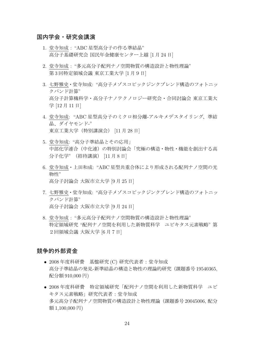### 国内学会・研究会講演

- 1. 堂寺知成 : "ABC 星型高分子の作る準結晶" 高分子基礎研究会 国民年金健康センター上越 [1 月 24 日]
- 2. 堂寺知成 : "多元高分子配列ナノ空間物質の構造設計と物性理論" 第 3 回特定領域会議 東京工業大学 [1 月9日]
- 3. 七野雅史・堂寺知成: "高分子メゾスコピックジンクブレンド構造のフォトニッ クバンド計算" 高分子計算機科学・高分子ナノテクノロジー研究会・合同討論会 東京工業大 学 [12 月 11 日]
- 4. 堂寺知成: "ABC 星型高分子のミクロ相分離-アルキメデスタイリング、準結 晶、ダイヤモンド-" 東京工業大学(特別講演会) [11 月 28 日]
- 5. 堂寺知成: "高分子準結晶とその応用」 中部化学連合(中化連)の特別討論会「究極の構造・物性・機能を創出する高 分子化学" (招待講演) [11 月 8 日]
- 6. 堂寺知成・上田和成: "ABC 星型共重合体により形成される配列ナノ空間の光 物性" 高分子討論会 大阪市立大学 [9 月 25 日]
- 7. 七野雅史・堂寺知成: "高分子メゾスコピックジンクブレンド構造のフォトニッ クバンド計算" 高分子討論会 大阪市立大学 [9 月 24 日]
- 8. 堂寺知成 : "多元高分子配列ナノ空間物質の構造設計と物性理論" 特定領域研究 "配列ナノ空間を利用した新物質科学 ユビキタス元素戦略" 第 2回領域会議 大阪大学 [6 月 7 日]

### 競争的外部資金

- 2008 年度科研費 基盤研究 (C) 研究代表者:堂寺知成 高分子準結晶の発見-新準結晶の構造と物性の理論的研究(課題番号 19540365, 配分額 910,000 円)
- 2008 年度科研費 特定領域研究「配列ナノ空間を利用した新物質科学 ユビ キタス元素戦略」研究代表者:堂寺知成 多元高分子配列ナノ空間物質の構造設計と物性理論(課題番号 20045006, 配分 額 1,100,000 円)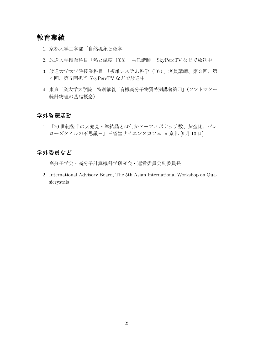## 教育業績

- 1. 京都大学工学部「自然現象と数学」
- 2. 放送大学授業科目「熱と温度('08)」主任講師 SkyPercTV などで放送中
- 3. 放送大学大学院授業科目 「複雑システム科学('07)」客員講師、第3回、第 4回、第 5 回担当 SkyPercTV などで放送中
- 4. 東京工業大学大学院 特別講義「有機高分子物質特別講義第四」(ソフトマター 統計物理の基礎概念)

### 学外啓蒙活動

1. 「20 世紀後半の大発見・準結晶とは何か?-フィボナッチ数、黄金比、ペン ローズタイルの不思議-」三省堂サイエンスカフェ in 京都 [9 月 13 日]

## 学外委員など

- 1. 高分子学会・高分子計算機科学研究会・運営委員会副委員長
- 2. International Advisory Board, The 5th Asian International Workshop on Quasicrystals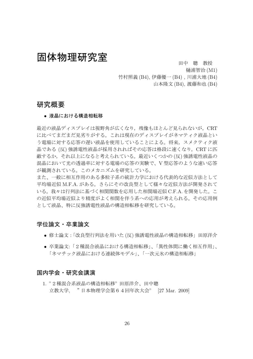# 固体物理研究室  $\qquad \qquad \qquad \boxplus \qquad \qquad \boxplus \qquad \qquad \boxplus \qquad \qquad \boxplus \qquad \qquad \boxplus \qquad \qquad \boxplus \qquad \qquad \boxplus \qquad \qquad \boxplus \qquad \qquad \boxplus \qquad \qquad \boxplus \qquad \qquad \boxplus \qquad \qquad \boxplus \qquad \qquad \boxplus \qquad \qquad \boxplus \qquad \qquad \boxplus \qquad \qquad \boxplus \qquad \qquad \boxplus \qquad \qquad \boxplus \qquad \qquad \boxplus \qquad \qquad \boxplus \qquad \qquad \boxplus \qquad \qquad \boxplus \qquad \qquad \boxplus \$

樋浦智治 (M1)

竹村照義 (B4), 伊藤優一 (B4) , 川浦大地 (B4)

山本隆文 (B4), 渡藤和也 (B4)

### 研究概要

#### • 液晶における構造相転移

最近の液晶ディスプレイは視野角が広くなり、残像もほとんど見られないが、CRT に比べてまだまだ見劣りがする。これは現在のディスプレイがネマティク液晶とい う電場に対する応答の遅い液晶を使用していることによる。将来,スメクティク液 晶である (反) 強誘電性液晶が採用されればその応答は格段に速くなり,CRT に匹 敵するか,それ以上になると考えられている。最近いくつかの (反) 強誘電性液晶の 混晶において光の透過率に対する電場の応答の実験で、V 型応答のような速い応答 が観測されている。このメカニズムを研究している。

また、一般に相互作用のある多粒子系の統計力学における代表的な近似方法として 平均場近似 M.F.A. がある。さらにその改良型として様々な近似方法が開発されて いる。我々は行列法に基づく相関関数を応用した相関場近似 C.F.A. を開発した。こ の近似平均場近似より精度がよく相関を伴う系への応用が考えられる。その応用例 として液晶、特に反強誘電性液晶の構造相転移を研究している。

### 学位論文・卒業論文

- 修士論文:「改良型行列法を用いた (反) 強誘電性液晶の構造相転移」田原洋介
- 卒業論文:「2種混合液晶における構造相転移」、「異性体間に働く相互作用」、 「ネマチック液晶における連続体モデル」、「一次元氷の構造相転移」

### 国内学会・研究会講演

1. "2種混合系液晶の構造相転移" 田原洋介、田中聰 立教大学, "日本物理学会第64回年次大会" [27 Mar. 2009]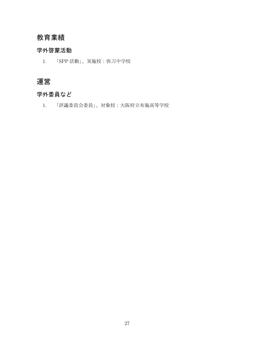## 教育業績

## 学外啓蒙活動

1. 「SPP 活動」、実施校:弥刀中学校

## 運営

## 学外委員など

1. 「評議委員会委員」、対象校:大阪府立布施高等学校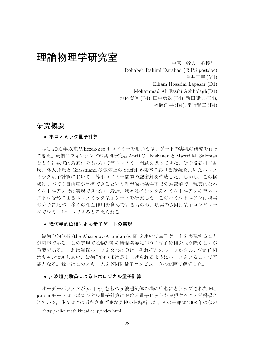# 理論物理学研究室  $\qquad \qquad \qquad \mathop{\mathrm{Hom}}\nolimits_{\mathop{\mathrm{Hom}}\nolimits_{\mathop{\mathrm{Hom}}\nolimits_{\mathop{\mathrm{Hom}}\nolimits_{\mathop{\mathrm{Hom}}\nolimits_{\mathop{\mathrm{Hom}}\nolimits_{\mathop{\mathrm{Hom}}\nolimits_{\mathop{\mathrm{Hom}}\nolimits_{\mathop{\mathrm{Hom}}\nolimits_{\mathop{\mathrm{Hom}}\nolimits_{\mathop{\mathrm{Hom}}\nolimits_{\mathop{\mathrm{Hom}}\nolimits_{\mathop{\mathrm{Hom}}\nolimits_{\mathop{\mathrm{Hom}}\nolimits_{\mathop{\mathrm{Hom}}\nolimits_{\mathop{\mathrm{$

Robabeh Rahimi Darabad (JSPS postdoc)

今井正幸 (M1)

Elham Hosseini Lapasar (D1)

Mohammad Ali Fasihi Aghbolagh(D1)

垣内美香 (B4), 田中勇次 (B4), 新田健悟 (B4),

福岡洋平 (B4), 宗行賢二 (B4)

### 研究概要

● ホロノミック量子計算

私は 2001 年以来 Wliczek-Zee ホロノミーを用いた量子ゲートの実現の研究を行っ てきた。最初はフィンランドの共同研究者 Antti O. Niskanen と Martti M. Salomaa とともに数値的最適化をもちいて等ホロノミー問題を扱ってきた。その後谷村省吾 氏,林大介氏と Grassmann 多様体上の Stiefel 多様体における接続を用いたホロノ ミック量子計算において,等ホロノミー問題の厳密解を構成した。しかし,この構 成はすべての自由度が制御できるという理想的な条件下での厳密解で、現実的なハ ミルトニアンでは実現できない。最近,我々はイジング鎖ハミルトニアンの等スペ クトル変形によるホロノミック量子ゲートを研究した。このハミルトニアンは現実 の分子に比べ,多くの相互作用を含んでいるものの,現実の NMR 量子コンピュー タでシミュレートできると考えられる。

#### • 幾何学的位相による量子ゲートの実現

幾何学的位相 (the Aharonov-Anandan 位相) を用いて量子ゲートを実現すること が可能である。この実現では物理系の時間発展に伴う力学的位相を取り除くことが 重要である。これは制御ループを2つに分け,それぞれのループからの力学的位相 はキャンセルしあい,幾何学的位相は足し上げられるようにループをとることで可 能となる。我々はこのスキームを NMR 量子コンピュータの範囲で解析した。

#### • p-波超流動渦によるトポロジカル量子計算

オーダーパラメタが  $p_x + ip_y$ をもつ  $p$ -波超流体の渦の中心にとラップされた Majorana モードはトポロジカル量子計算における量子ビットを実現することが提唱さ れている。我々はこの系をさまざまな見地から解析した。その一部は 2008 年の秋の

<sup>1</sup>http://alice.math.kindai.ac.jp/index.html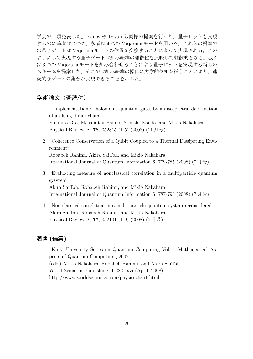学会で口頭発表した。Ivanov や Tewari も同様の提案を行った。量子ビットを実現 するのに前者は2つの,後者は 4 つの Majorana モードを用いる。これらの提案で は量子ゲートは Majorana モードの位置を交換することによって実現される。この ようにして実現する量子ゲートは組み紐群の離散性を反映して離散的となる。我々 は 3 つの Majorana モードを組み合わせることにより量子ビットを実現する新しい スキームを提案した。そこでは組み紐群の操作に力学的位相を補うことにより、連 続的なゲートの集合が実現できることを示した。

### 学術論文(査読付)

1. ""Implementation of holonomic quantum gates by an isospectral deformation of an Ising dimer chain"

Yukihiro Ota, Masamitsu Bando, Yasushi Kondo, and Mikio Nakahara Physical Review A, 78, 052315-(1-5) (2008) (11 月号)

- 2. "Coherence Conservation of a Qubit Coupled to a Thermal Dissipating Environment" Robabeh Rahimi, Akira SaiToh, and Mikio Nakahara International Journal of Quantum Information 6, 779-785 (2008) (7 月号)
- 3. "Evaluating measure of nonclassical correlation in a multiparticle quantum sysytem" Akira SaiToh, Robabeh Rahimi, and Mikio Nakahara

International Journal of Quantum Information 6, 787-793 (2008)  $(7 \text{ H})$ 

4. "Non-classical correlation in a multi-particle quantum system reconsidered" Akira SaiToh, Robabeh Rahimi, and Mikio Nakahara Physical Review A, 77, 052101-(1-9) (2008) (5 月号)

### 著書 (編集)

1. "Kinki University Series on Quantum Computing Vol.1: Mathematical Aspects of Quantum Computiung 2007" (eds.) Mikio Nakahara, Robabeh Rahimi, and Akira SaiToh World Scientific Publishing, 1-222+xvi (April, 2008). http://www.worldscibooks.com/physics/6851.html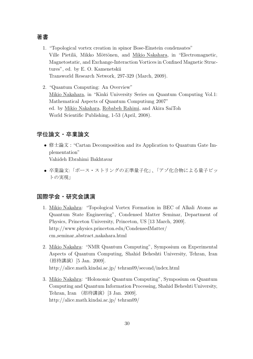## 著書

- 1. "Topological vortex creation in spinor Bose-Einstein condensates" Ville Pietilä, Mikko Möttönen, and Mikio Nakahara, in "Electromagnetic, Magnetostatic, and Exchange-Interaction Vortices in Confined Magnetic Structures", ed. by E. O. Kamenetskii Transworld Research Network, 297-329 (March, 2009).
- 2. "Quantum Computing: An Overview" Mikio Nakahara, in "Kinki University Series on Quantum Computing Vol.1: Mathematical Aspects of Quantum Computiung 2007" ed. by Mikio Nakahara, Robabeh Rahimi, and Akira SaiToh World Scientific Publishing, 1-53 (April, 2008).

## 学位論文・卒業論文

- 修士論文:"Cartan Decomposition and its Application to Quantum Gate Implementation" Vahideh Ebrahimi Bakhtavar
- 卒業論文:「ボース・ストリングの正準量子化」、「アゾ化合物による量子ビッ トの実現」

### 国際学会・研究会講演

- 1. Mikio Nakahra: "Topological Vortex Formation in BEC of Alkali Atoms as Quantum State Engineering", Condensed Matter Seminar, Department of Physics, Princeton University, Princeton, US [13 March, 2009]. http://www.physics.princeton.edu/CondensedMatter/ cm seminar abstract nakahara.html
- 2. Mikio Nakahra: "NMR Quantum Computing", Symposium on Experimental Aspects of Quantum Computing, Shahid Beheshti University, Tehran, Iran (招待講演)[5 Jan. 2009]. http://alice.math.kindai.ac.jp/ tehran09/second/index.html
- 3. Mikio Nakahra: "Holonomic Quantum Computing", Symposium on Quantum Computing and Quantum Information Processing, Shahid Beheshti University, Tehran, Iran (招待講演)[3 Jan. 2009]. http://alice.math.kindai.ac.jp/ tehran09/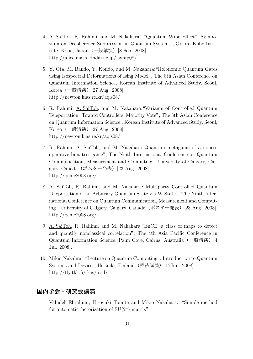- 4. A. SaiToh, R. Rahimi, and M. Nakahara: "Quantum Wipe Effect", Symposium on Decoherence Suppression in Quantum Systems , Oxford Kobe Institute, Kobe, Japan (一般講演) [8 Sep. 2008]. http://alice.math.kindai.ac.jp/ symp08/
- 5. Y. Ota, M. Bando, Y. Kondo, and M. Nakahara:"Holonomic Quantum Gates using Isospectral Deformations of Ising Model", The 8th Asian Conference on Quantum Information Science, Korean Institute of Advanced Study, Seoul, Korea (一般講演) [27 Aug. 2008]. http://newton.kias.re.kr/aqis08/
- 6. R. Rahimi, A. SaiToh, and M. Nakahara:"Variants of Controlled Quantum Teleportation: Toward Controllers' Majority Vote", The 8th Asian Conference on Quantum Information Science , Korean Institute of Advanced Study, Seoul, Korea (一般講演) [27 Aug. 2008]. http://newton.kias.re.kr/aqis08/
- 7. R. Rahimi, A. SaiToh, and M. Nakahara"Quantum metagame of a noncooperative bimatrix game", The Ninth International Conference on Quantum Communication, Measurement and Computing , University of Calgary, Calgary, Canada (ポスター発表) [23 Aug. 2008]. http://qcmc2008.org/
- 8. A. SaiToh, R. Rahimi, and M. Nakahara:"Multiparty Controlled Quantum Teleportation of an Arbitrary Quantum State via W-State", The Ninth International Conference on Quantum Communication, Measurement and Computing , University of Calgary, Calgary, Canada(ポスター発表)[23 Aug. 2008]. http://qcmc2008.org/
- 9. A. SaiToh, R. Rahimi, and M. Nakahara:"EnCE: a class of maps to detect and quantify nonclassical correlation", The 4th Asia Pacific Conference in Quantum Information Science, Palm Cove, Cairns, Australia (一般講演)[4] Jul. 2008].
- 10. Mikio Nakahra: "Lecture on Quantum Computing", Introduction to Quantum Systems and Devices, Helsinki, Finland(招待講演)[17Jun. 2008]. http://tfy.tkk.fi/ kas/iqsd/

### 国内学会・研究会講演

1. Vahideh Ebrahimi, Hiroyuki Tomita and Mikio Nakahara: "Simple method for automatic factorization of  $SU(2<sup>n</sup>)$  matrix"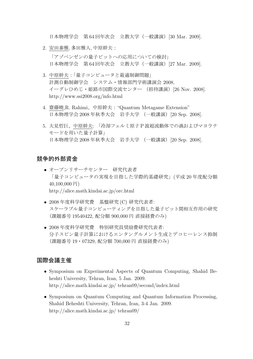日本物理学会 第 64 回年次会 立教大学(一般講演)[30 Mar. 2009].

2. 安田泰雅, 多田雅人, 中原幹夫:

「アゾベンゼンの量子ビットへの応用についての検討」 日本物理学会 第 64 回年次会 立教大学(一般講演)[27 Mar. 2009].

- 3. 中原幹夫:「量子コンピュータと最適制御問題」 計測自動制御学会 システム・情報部門学術講演会 2008, イーグレひめじ・姫路市国際交流センター (招待講演)[26 Nov. 2008]. http://www.ssi2008.org/info.html
- 4. 齋藤暁,R. Rahimi、中原幹夫:"Quantum Metagame Extension" 日本物理学会 2008 年秋季大会 岩手大学 (一般講演) [20 Sep. 2008].
- 5. 大見哲巨、中原幹夫: 「冷却フェルミ原子 P 波超流動体での渦およびマヨラナ モードを用いた量子計算」 日本物理学会 2008年秋季大会 岩手大学 (一般講演) [20 Sep. 2008].

### 競争的外部資金

- オープンリサーチセンター 研究代表者 「量子コンピュータの実現を目指した学際的基礎研究」(平成 20 年度配分額 40,100,000 円) http://alice.math.kindai.ac.jp/orc.html
- 2008 年度科学研究費 基盤研究 (C) 研究代表者: スケーラブル量子コンピューティングを目指した量子ビット間相互作用の研究 (課題番号 19540422, 配分額 900,000 円 直接経費のみ)
- 2008 年度科学研究費 特別研究員奨励費研究代表者: 分子スピン量子計算におけるエンタングルメント生成とデコヒーレンス抑制 (課題番号 19・07329, 配分額 700,000 円 直接経費のみ)

### 国際会議主催

- Symposium on Experimental Aspects of Quantum Computing, Shahid Beheshti University, Tehran, Iran, 5 Jan. 2009. http://alice.math.kindai.ac.jp/ tehran09/second/index.html
- Symposium on Quantum Computing and Quantum Information Processing, Shahid Beheshti University, Tehran, Iran, 3-4 Jan. 2009. http://alice.math.kindai.ac.jp/ tehran09/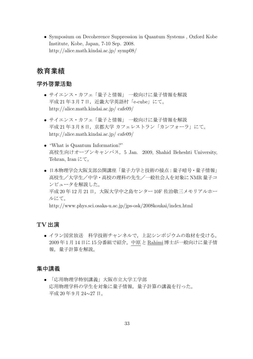• Symposium on Decoherence Suppression in Quantum Systems , Oxford Kobe Institute, Kobe, Japan, 7-10 Sep. 2008. http://alice.math.kindai.ac.jp/ symp08/

## 教育業績

### 学外啓蒙活動

- サイエンス・カフェ「量子と情報」 一般向けに量子情報を解説 平成 21 年 3 月 7 日, 近畿大学英語村「e-cube」にて。 http://alice.math.kindai.ac.jp/ cafe09/
- サイエンス・カフェ「量子と情報」 一般向けに量子情報を解説 平成21年3月8日、京都大学カフェレストラン「カンフォーラ」にて。 http://alice.math.kindai.ac.jp/ cafe09/
- "What is Quantum Information?" 高校生向けオープンキャンパス,5 Jan. 2009, Shahid Beheshti University, Tehran, Iran にて。
- 日本物理学会大阪支部公開講座「量子力学と技術の接点:量子暗号・量子情報」 高校生/大学生/中学・高校の理科の先生/一般社会人を対象に NMR 量子コ ンピュータを解説した。 平成 20年12月21日, 大阪大学中之島センター10F 佐治敬三メモリアルホー ルにて。 http://www.phys.sci.osaka-u.ac.jp/jps-osk/2008koukai/index.html

### TV 出演

● イラン国営放送 科学技術チャンネルで、上記シンポジウムの取材を受ける。 2009 年 1 月 14 日に 15 分番組で紹介。中原 と Rahimi 博士が一般向けに量子情 報,量子計算を解説。

### 集中講義

• 「応用物理学特別講義」大阪市立大学工学部 応用物理学科の学生を対象に量子情報,量子計算の講義を行った。 平成 20 年 9 月 24∼27 日。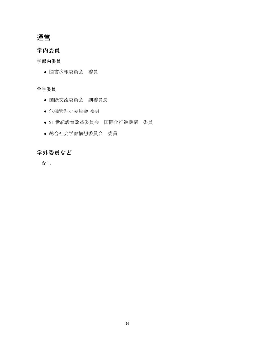## 運営

## 学内委員

### 学部内委員

• 図書広報委員会 委員

### 全学委員

- 国際交流委員会 副委員長
- 危機管理小委員会 委員
- 21 世紀教育改革委員会 国際化推進機構 委員
- 総合社会学部構想委員会 委員

## 学外委員など

なし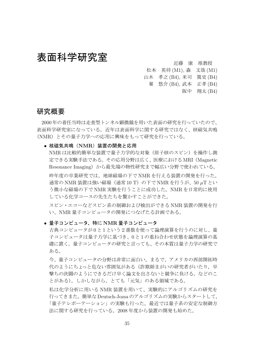## 表面科学研究室  $\qquad \qquad \qquad \sum_{\alpha \in \mathbb{R}^m \setminus \{0,1\}^m \in \mathbb{R}^m}$

松本 英将 (M1), 森 文哉 (M1) 山木 孝之 (B4), 米司 篤史 (B4) 秦 悠介 (B4), 武本 正孝 (B4)

阪中 翔太 (B4)

## 研究概要

2000 年の着任当時は走査型トンネル顕微鏡を用いた表面の研究を行っていたので、 表面科学研究室になっている。近年は表面科学に関する研究ではなく、核磁気共鳴 (NMR)とその量子力学への応用に興味をもって研究を行っている。

● 核磁気共鳴 (NMR) 装置の開発と応用

NMR は比較的簡単な装置で量子力学的な対象(原子核のスピン)を操作し測 定できる実験手法である。その応用分野は広く、医療における MRI(Magnetic Resonance Imaging)から最先端の物性研究まで幅広い分野で使われている。

昨年度の卒業研究では、地球磁場の下で NMR を行える装置の開発を行った。 通常の NMR 装置は強い磁場 (通常 10 T) の下で NMR を行うが、50  $\mu$ T とい う微小な磁場の下で NMR 実験を行うことに成功した。NMR を日常的に使用 している化学コースの先生たちを驚かすことができた。

スピン・エコーなどスピン系の制御および検出ができる NMR 装置の開発を行 い、NMR 量子コンピュータの開発につなげたる計画である。

• 量子コンピュータ、特に NMR 量子コンピュータ

古典コンピュータが 0 と 1 という2進数を使って論理演算を行うのに対し、量 子コンピュータは量子力学に基づき、0 と 1 の重ね合わせ状態を論理演算の基 礎に置く。量子コンピュータの研究と言っても、その本質は量子力学の研究で ある。

今、量子コンピュータの分野は非常に面白い。まるで、アメリカの西部開拓時 代のようにちょっと危ない雰囲気がある(詐欺師まがいの研究者がいたり,早 撃ちの決闘のようにできるだけ早く論文を出さないと競争に負ける。などのこ とがある)。しかしながら,とても「元気」のある領域である。

私は化学分析に用いる NMR 装置を用いて、実験的にアルゴリズムの研究を 行ってきまた。簡単な Deutsch-Jozsa のアルゴリズムの実験からスタートして, 「量子テレポーテーション」の実験も行った。最近では量子系の安定な制御方 法に関する研究を行っている。2008 年度から装置の開発も始めた。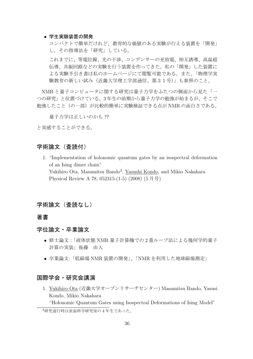#### ● 学生実験装置の開発

コンパクトで簡単だけれど、教育的な価値のある実験が行える装置を「開発」 し,その指導法を「研究」している。

これまでに、等電位線、光の干渉、コンデンサーの充放電、相互誘導、高温超 伝導、共振回路などの実験を行う装置を作ってきた。私の「開発」した装置に よる実験手引き書は私のホームページにて閲覧可能である。また、「物理学実 験教育の新しい試み(近畿大学理工学部通信、第31号)」も参照のこと。

NMR と量子コンピュータに関する研究は量子力学をふたつの側面から見た「一 つの研究」と位置づけている。3 年生の前期から量子力学の勉強が始まるが、そこで 勉強したこと(の一部)が比較的簡単に実験検証できる点が NMR の面白さである。

量子力学は正しいのかも !?

と実感することができる。

### 学術論文(査読付)

1. "Implementation of holonomic quantum gates by an isospectral deformation of an Ising dimer chain" Yukihiro Ota, Masamitsu Bando<sup>2</sup>, Yasushi Kondo, and Mikio Nakahara Physical Review A 78, 052315-(1-5) (2008) (5 月号)

### 学術論文 (査読なし)

### 著書

### 学位論文・卒業論文

- 修士論文:「液体状態 NMR 量子計算機での 2 重ループ法による幾何学的量子 計算の実装」後藤 由人
- 卒業論文:「低磁場 NMR 装置の開発」、「NMR を利用した地球磁場測定」

### 国際学会・研究会講演

1. Yukihiro Ota (近畿大学オープンリサーチセンター) Masamitsu Bando, Yasusi Kondo, Mikio Nakahara

"Holonomic Quantum Gates using Isospectral Deformations of Ising Model"

<sup>2</sup>研究遂行時は表面科学研究室の 4 年生であった。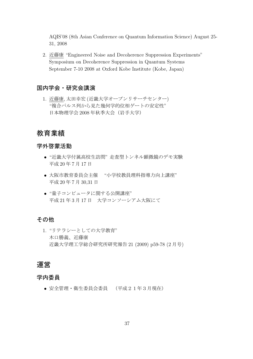AQIS'08 (8th Asian Conference on Quantum Information Science) August 25- 31, 2008

2. 近藤康 "Engineered Noise and Decoherence Suppression Experiments" Symposium on Decoherence Suppression in Quantum Systems September 7-10 2008 at Oxford Kobe Institute (Kobe, Japan)

### 国内学会・研究会講演

1. 近藤康, 太田幸宏 (近畿大学オープンリサーチセンター) "複合パルス列から見た幾何学的位相ゲートの安定性" 日本物理学会 2008 年秋季大会(岩手大学)

## 教育業績

### 学外啓蒙活動

- "近畿大学付属高校生訪問" 走査型トンネル顕微鏡のデモ実験 平成 20 年 7 月 17 日
- 大阪市教育委員会主催 "小学校教員理科指導力向上講座" 平成 20 年 7 月 30,31 日
- "量子コンピュータに関する公開講座" 平成 21 年 3 月 17 日 大学コンソーシアム大阪にて

### その他

1. "リテラシーとしての大学教育" 木口勝義、近藤康 近畿大学理工学総合研究所研究報告 21 (2009) p59-78 (2 月号)

## 運営

### 学内委員

• 安全管理・衛生委員会委員 (平成21年3月現在)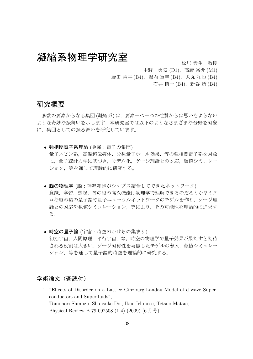# 凝縮系物理学研究室 <sub>松居 哲生</sub> 教授

中野 勇気 (D1),高藤 裕介 (M1)

藤田 竜平 (B4), 堀内 重幸 (B4), 犬丸 和也 (B4)

石井 慎一 (B4), 新谷 透 (B4)

### 研究概要

多数の要素からなる集団 (凝縮系) は,要素一つ一つの性質からは思いもよらない ような奇妙な振舞いを示します。本研究室では以下のようなさまざまな分野を対象 に,集団としての振る舞いを研究しています。

- 強相関電子系理論 (金属:電子の集団) 量子スピン系,高温超伝導体,分数量子ホール効果,等の強相関電子系を対象 に,量子統計力学に基づき,モデル化,ゲージ理論との対応,数値シミュレー ション,等を通して理論的に研究する。
- 脳の物理学 (脳:神経細胞がシナプス結合してできたネットワーク) 意識,学習,想起,等の脳の高次機能は物理学で理解できるのだろうか?ミク ロな脳の場の量子論や量子ニューラルネットワークのモデルを作り,ゲージ理 論との対応や数値シミュレーション,等により,その可能性を理論的に追求す る。
- 時空の量子論 (宇宙:時空のかけらの集まり) 初期宇宙,人間原理,平行宇宙,等,時空の物理学で量子効果が果たすと期待 される役割は大きい。ゲージ対称性を考慮したモデルの導入,数値シミュレー ション,等を通して量子論的時空を理論的に研究する。

### 学術論文(査読付)

1. "Effects of Disorder on a Lattice Ginzburg-Landau Model of d-wave Superconductors and Superfluids", Tomonori Shimizu, Shunsuke Doi, Ikuo Ichinose, Tetsuo Matsui, Physical Review B 79 092508 (1-4) (2009) (6 月号)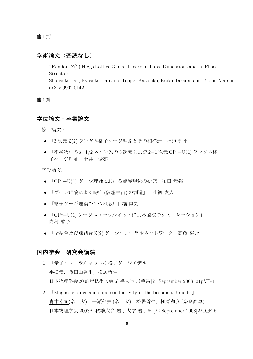他 1 篇

### 学術論文 (査読なし)

1. "Random Z(2) Higgs Lattice Gauge Theory in Three Dimensions and its Phase Structure", Shunsuke Doi, Ryosuke Hamano, Teppei Kakisako, Keiko Takada, and Tetsuo Matsui, arXiv:0902.0142

他 1 篇

### 学位論文・卒業論文

修士論文:

- 「3 次元 Z(2) ランダム格子ゲージ理論とその相構造」柿迫 哲平
- 「不純物中の s=1/2 スピン系の 3 次元および 2+1 次元 CP<sup>1</sup>+U(1) ランダム格 子ゲージ理論」土井 俊亮

卒業論文:

- 「CP<sup>1</sup>+U(1) ゲージ理論における臨界現象の研究」和田 龍弥
- 「ゲージ理論による時空 (仮想宇宙) の創造」 小河 麦人
- 「格子ゲージ理論の2つの応用」堀 勇気
- 「CP<sup>1</sup>+U(1) ゲージニューラルネットによる脳波のシミュレーション」 内村 啓子
- 「全結合及び疎結合 Z(2) ゲージニューラルネットワーク」高藤 裕介

### 国内学会・研究会講演

- 1. 「量子ニューラルネットの格子ゲージモデル」 平松崇,藤田由香里,松居哲生 日本物理学会 2008 年秋季大会 岩手大学 岩手県 [21 September 2008] 21pVB-11
- 2. 「Magnetic order and superconductivity in the bosonic t-J model」 青木幸司(名工大),一瀬郁夫 (名工大),松居哲生,榊原和彦 (奈良高専) 日本物理学会 2008 年秋季大会 岩手大学 岩手県 [22 September 2008]22aQE-5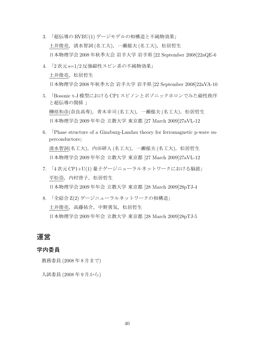- 3. 「超伝導の RVBU(1) ゲージモデルの相構造と不純物効果」 土井俊亮,清水智詞 (名工大),一瀬郁夫 (名工大),松居哲生 日本物理学会 2008 年秋季大会 岩手大学 岩手県 [22 September 2008]22aQE-6
- 4. 「2 次元 s=1/2 反強磁性スピン系の不純物効果」 土井俊亮, 松居哲生 日本物理学会 2008 年秋季大会 岩手大学 岩手県 [22 September 2008]22aVA-10
- 5. 「Bosonic t-J 模型における CP1 スピノンとボゾニックホロンでみた磁性秩序 と超伝導の関係 」 榊原和彦(奈良高専),青木幸司 (名工大),一瀬郁夫 (名工大),松居哲生 日本物理学会 2009 年年会 立教大学 東京都 [27 March 2009]27aVL-12
- 6. 「Phase structure of a Ginzburg-Landau theory for ferromagnetic p-wave superconductors」 清水智詞(名工大), 内田研人 (名工大), 一瀬郁夫 (名工大), 松居哲生 日本物理学会 2009 年年会 立教大学 東京都 [27 March 2009]27aVL-12
- 7. 「4 次元 CP1+U(1) 量子ゲージニューラルネットワークにおける脳波」 平松崇, 内村啓子, 松居哲生 日本物理学会 2009 年年会 立教大学 東京都 [28 March 2009]28pTJ-4
- 8. 「全結合 Z(2) ゲージニューラルネットワークの相構造」 土井俊亮,高藤祐介,中野勇気,松居哲生 日本物理学会 2009 年年会 立教大学 東京都 [28 March 2009]28pTJ-5

## 運営

### 学内委員

教務委員 (2008 年 8 月まで)

入試委員 (2008 年 9 月から)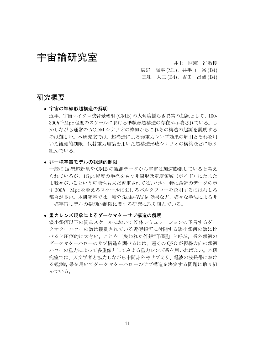宇宙論研究室 キュランチ キュリ きょうかん かいきょう

辰野 陽平 (M1)、井手口 裕 (B4) 五味 大三 (B4)、吉田 昌哉 (B4)

### 研究概要

● 宇宙の準線形超構造の解明

近年、宇宙マイクロ波背景輻射(CMB)の大角度揺らぎ異常の起源として、100- 300h<sup>-1</sup>Mpc程度のスケールにおける準線形超構造の存在が示唆されている。し かしながら通常の ΛCDM シナリオの枠組からこれらの構造の起源を説明する のは難しい。本研究室では、超構造による弱重力レンズ効果の解明とそれを用 いた観測的制限、代替重力理論を用いた超構造形成シナリオの構築などに取り 組んでいる。

● 非一様宇宙モデルの観測的制限

一般に Ia 型超新星や CMB の観測データから宇宙は加速膨張していると考え られているが、1Gpc 程度の半径をもつ非線形低密度領域 (ボイド) にたまた ま我々がいるという可能性も未だ否定されてはいない。特に最近のデータの示 す 300h <sup>−</sup><sup>1</sup>Mpc を超えるスケールにおけるバルクフローを説明するにはむしろ 都合が良い。本研究室では、積分 Sachs-Wolfe 効果など、様々な手法による非 一様宇宙モデルの観測的制限に関する研究に取り組んでいる。

### • 重力レンズ現象によるダークマターサブ構造の解明

矮小銀河以下の質量スケールにおいて N 体シミュレーションの予言するダー クマターハローの数は観測されている近傍銀河に付随する矮小銀河の数に比 べると圧倒的に大きい。これを「失われた伴銀河問題」と呼ぶ。系外銀河の ダークマターハローのサブ構造を調べるには、遠くの QSO が視線方向の銀河 ハローの重力によって多重像としてみえる重力レンズ系を用いればよい。本研 究室では、天文学者と協力しながら中間赤外やサブミリ、電波の波長帯におけ る観測結果を用いてダークマターハローのサブ構造を決定する問題に取り組 んでいる。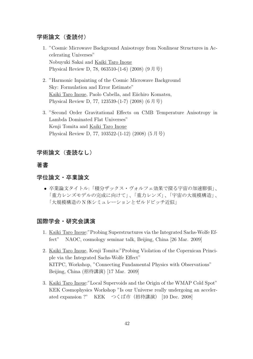### 学術論文(査読付)

- 1. "Cosmic Microwave Background Anisotropy from Nonlinear Structures in Accelerating Universes" Nobuyuki Sakai and Kaiki Taro Inoue Physical Review D, 78, 063510-(1-6) (2008) (9 月号)
- 2. "Harmonic Inpainting of the Cosmic Microwave Background Sky: Formulation and Error Estimate" Kaiki Taro Inoue, Paolo Cabella, and Eiichiro Komatsu, Physical Review D, 77, 123539-(1-7) (2008) (6 月号)
- 3. "Second Order Gravitational Effects on CMB Temperature Anisotropy in Lambda Dominated Flat Universes" Kenji Tomita and Kaiki Taro Inoue Physical Review D, 77, 103522-(1-12) (2008) (5 月号)

### 学術論文 (査読なし)

### 著書

### 学位論文・卒業論文

● 卒業論文タイトル:「積分ザックス・ヴォルフェ効果で探る宇宙の加速膨張」、 「重力レンズモデルの完成に向けて」、「重力レンズ」、「宇宙の大規模構造」、 「大規模構造の N 体シミュレーションとゼルドビッチ近似」

### 国際学会・研究会講演

- 1. Kaiki Taro Inoue:"Probing Superstructures via the Integrated Sachs-Wolfe Effect" NAOC, cosmology seminar talk, Beijing, China [26 Mar. 2009]
- 2. Kaiki Taro Inoue, Kenji Tomita:"Probing Violation of the Copernican Principle via the Integrated Sachs-Wolfe Effect" KITPC, Workshop, "Connecting Fundamental Physics with Observations" Beijing, China (招待講演) [17 Mar. 2009]
- 3. Kaiki Taro Inoue:"Local Supervoids and the Origin of the WMAP Cold Spot" KEK Cosmophysics Workshop "Is our Universe really undergoing an accelerated expansion ?" KEK つくば市 (招待講演) [10 Dec. 2008]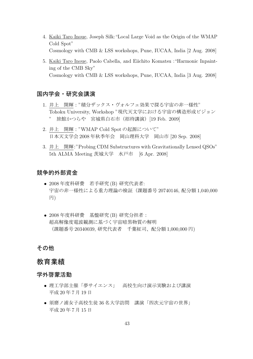- 4. Kaiki Taro Inoue, Joseph Silk:"Local Large Void as the Origin of the WMAP Cold Spot" Cosmology with CMB & LSS workshops, Pune, IUCAA, India [2 Aug. 2008]
- 5. Kaiki Taro Inoue, Paolo Cabella, and Eiichito Komatsu :"Harmonic Inpainting of the CMB Sky" Cosmology with CMB & LSS workshops, Pune, IUCAA, India [3 Aug. 2008]

### 国内学会・研究会講演

- 1. 井上 開輝:"積分ザックス・ヴォルフェ効果で探る宇宙の非一様性" Tohoku University, Workshop "現代天文学における宇宙の構造形成ビジョン 旅館かつらや 宮城県白石市 (招待講演) [19 Feb. 2009]
- 2. 井上 開輝:"WMAP Cold Spot の起源について" 日本天文学会 2008 年秋季年会 岡山理科大学 岡山市 [20 Sep. 2008]
- 3. 井上 開輝:"Probing CDM Substructures with Gravitationally Lensed QSOs" 5th ALMA Meeting 茨城大学 水戸市 [6 Apr. 2008]

### 競争的外部資金

- 2008 年度科研費 若手研究 (B) 研究代表者: 宇宙の非一様性による重力理論の検証(課題番号 20740146, 配分額 1,040,000 円)
- 2008 年度科研費 基盤研究 (B) 研究分担者: 超高解像度電波観測に基づく宇宙暗黒物質の解明 (課題番号 20340039, 研究代表者 千葉柾司、配分額 1,000,000 円)

### その他

## 教育業績

### 学外啓蒙活動

- 理工学部主催「夢サイエンス」 高校生向け演示実験および講演 平成 20 年 7 月 19 日
- 須磨ノ浦女子高校生徒 36 名大学訪問 講演「四次元宇宙の世界」 平成 20 年 7 月 15 日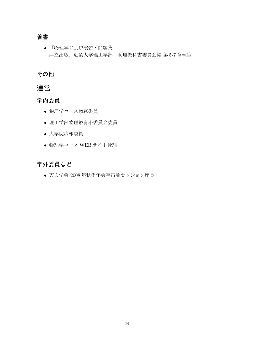## 著書

• 「物理学および演習・問題集」 共立出版、近畿大学理工学部 物理教科書委員会編 第 5-7 章執筆

## その他

## 運営

### 学内委員

- 物理学コース教務委員
- 理工学部物理教育小委員会委員
- 大学院広報委員
- 物理学コース WEB サイト管理

## 学外委員など

● 天文学会 2008年秋季年会宇宙論セッション座長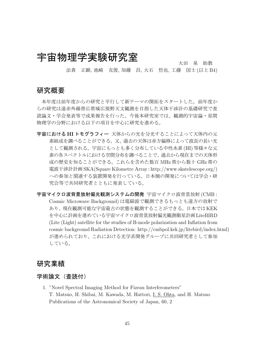## 宇宙物理学実験研究室  $\sum_{\chi_{\rm H}}$   $\sum_{\chi_{\rm H}}$   $\sum_{\chi_{\rm H}}$

法貴 正顕, 池崎 克俊, 加藤 昌, 大石 哲也, 工藤 国士 (以上 B4)

### 研究概要

本年度は前年度からの研究と平行して新テーマの開拓をスタートした。前年度か らの研究は遠赤外線帯広帯域広視野天文観測を目指した天体干渉計の基礎研究で査 読論文・学会発表等で成果報告を行った。今後本研究室では、観測的宇宙論・星間 物理学の分野における以下の項目を中心に研究を進める。

- 宇宙における HI トモグラフィー 天体からの光を分光することによって天体内の元 素組成を調べることができる。又、過去の天体は赤方偏移によって波長の長い光 として観測される。宇宙にもっとも多く分布している中性水素 (HI) 等様々な元 素の各スペクトルにおける空間分布を調べることで、過去から現在までの天体形 成の歴史を知ることができる。これらを含めた数百 MHz 帯から数十 GHz 帯の 電波干渉計計画SKA(Square Kilometre Array:http://www.skatelescope.org/) への参加と関連する装置開発を行っている。日本側の開発については学会・研 究会等で共同研究者とともに発表している。
- 宇宙マイクロ波背景放射偏光観測システムの開発 宇宙マイクロ波背景放射 (CMB: Cosmic Microwave Background) は電磁波で観測できるもっとも遠方の放射で あり、現在観測可能な宇宙最古の状態を観測することができる。日本ではKEK を中心に計画を進めている宇宙マイクロ波背景放射偏光観測衛星計画LiteBIRD (Lite (Light) satellite for the studies of B-mode polarization and Inflation from cosmic background Radiation Detection: http://cmbpol.kek.jp/litebird/index.html) が進められており、これにおける光学系開発グループに共同研究者として参加 している。

## 研究業績

### 学術論文(査読付)

1. "Novel Spectral Imaging Method for Fizeau Interferometers" T. Matsuo, H. Shibai, M. Kawada, M. Hattori, I. S. Ohta, and H. Matsuo Publications of the Astronomical Society of Japan, 60, 2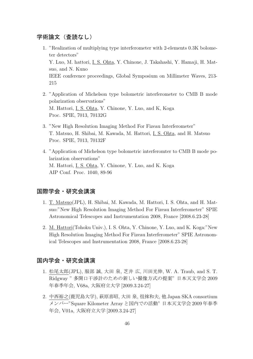### 学術論文(査読なし)

- 1. "Realization of multiplying type interferometer with 2-elements 0.3K bolometer detectors" Y. Luo, M. hattori, I. S. Ohta, Y. Chinone, J. Takahashi, Y. Hamaji, H. Matsuo, and N. Kuno IEEE conference proceedings, Global Symposium on Millimeter Waves, 213- 215
- 2. "Application of Michelson type bolometric interferometer to CMB B mode polarization observations" M. Hattori, <u>I. S. Ohta,</u> Y. Chinone, Y. Luo, and K, Koga Proc. SPIE, 7013, 70132G
- 3. "New High Resolution Imaging Method For Fizeau Interferometer" T. Matsuo, H. Shibai, M. Kawada, M. Hattori, I. S. Ohta, and H. Matsuo Proc. SPIE, 7013, 70132F
- 4. "Application of Michelson type bolometric interferomter to CMB B mode polarization observations" M. Hattori, I. S. Ohta, Y. Chinone, Y. Luo, and K. Koga AIP Conf. Proc. 1040, 89-96

### 国際学会・研究会講演

- 1. T. Matsuo(JPL), H. Shibai, M. Kawada, M. Hattori, I. S. Ohta, and H. Matsuo:"New High Resolution Imaging Method For Fizeau Interferometer" SPIE Astronomical Telescopes and Instrumentation 2008, France [2008.6.23-28]
- 2. M. Hattori(Tohoku Univ.), I. S. Ohta, Y. Chinone, Y. Luo, and K. Koga:"New High Resolution Imaging Method For Fizeau Interferometer" SPIE Astronomical Telescopes and Instrumentation 2008, France [2008.6.23-28]

### 国内学会・研究会講演

- 1. 松尾太郎(JPL), 服部 誠, 大田 泉, 芝井 広, 川田光伸, W. A. Traub, and S. T. Ridgway " 多開口干渉計のための新しい撮像方式の提案" 日本天文学会 2009 年春季年会, V68a, 大阪府立大学 [2009.3.24-27]
- 2. 中西裕之(鹿児島大学), 萩原喜昭, 大田 泉, 徂徠和夫, 他Japan SKA consortium メンバー"Square Kilometer Array と国内での活動" 日本天文学会 2009 年春季 年会, V01a, 大阪府立大学 [2009.3.24-27]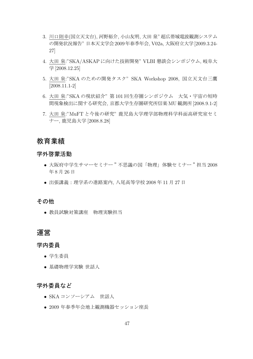- 3. 川口則幸(国立天文台), 河野裕介, 小山友明, 大田 泉"超広帯域電波観測システム の開発状況報告" 日本天文学会2009年春季年会, V02a, 大阪府立大学[2009.3.24- 27]
- 4. 大田 泉:"SKA/ASKAP に向けた技術開発" VLBI 懇談会シンポジウム, 岐阜大 学 [2008.12.25]
- 5. 大田 泉:"SKA のための開発タスク" SKA Workshop 2008, 国立天文台三鷹 [2008.11.1-2]
- 6. 大田 泉:"SKA の現状紹介" 第 101 回生存圏シンポジウム 大気・宇宙の短時 間現象検出に関する研究会, 京都大学生存圏研究所信楽 MU 観測所 [2008.9.1-2]
- 7. 大田 泉:"MuFT と今後の研究" 鹿児島大学理学部物理科学科面高研究室セミ ナー, 鹿児島大学 [2008.8.28]

## 教育業績

### 学外啓蒙活動

- 大阪府中学生サマーセミナー"不思議の国「物理」体験セミナー"担当 2008 年 8 月 26 日
- 出張講義: 理学系の進路案内, 八尾高等学校 2008年11月27日

### その他

• 教員試験対策講座 物理実験担当

## 運営

### 学内委員

- 学生委員
- 基礎物理学実験 世話人

### 学外委員など

- SKA コンソーシアム 世話人
- 2009 年春季年会地上観測機器セッション座長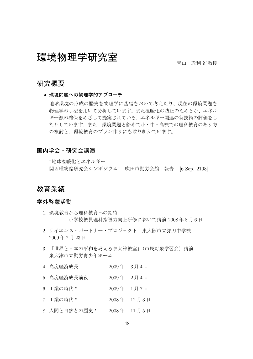# 環境物理学研究室  $\mathbf{\mathbb{F}}$  ,  $\mathbf{\mathbb{F}}$  ,  $\mathbb{F}_{\mathbb{F}}$  ,  $\mathbb{F}_{\mathbb{F}}$  ,  $\mathbb{F}_{\mathbb{F}}$  ,  $\mathbb{F}_{\mathbb{F}}$  ,  $\mathbb{F}_{\mathbb{F}}$  ,  $\mathbb{F}_{\mathbb{F}}$  ,  $\mathbb{F}_{\mathbb{F}}$  ,  $\mathbb{F}_{\mathbb{F}}$  ,  $\mathbb{F}_{\mathbb{F}}$  ,  $\mathbb{F}_{\mathbb{F}}$  ,  $\mathbb{F}_{\mathbb{F}}$

### 研究概要

● 環境問題への物理学的アプローチ

地球環境の形成の歴史を物理学に基礎をおいて考えたり、現在の環境問題を 物理学の手法を用いて分析しています。また温暖化の防止のためとか、エネル ギー源の確保をめざして提案されている.エネルギー関連の新技術の評価をし たりしています。また.環境問題と絡めて小・中・高校での理科教育のあり方 の検討と、環境教育のプラン作りにも取り組んでいます。

### 国内学会・研究会講演

1. "地球温暖化とエネルギー" 関西唯物論研究会シンポジウム" 吹田市勤労会館 報告 [6 Sep. 2108]

## 教育業績

### 学外啓蒙活動

- 1. 環境教育から理科教育への期待 小学校教員理科指導力向上研修において講演 2008 年 8 月 6 日
- 2. サイエンス・パートナー・プロジェクト 東大阪市立弥刀中学校 2009 年 2 月 23 日
- 3. 「世界と日本の平和を考える泉大津教室」(市民対象学習会)講演 泉大津市立勤労青少年ホーム
- 4. 高度経済成長 2009 年 3 月 4 日 5. 高度経済成長前夜 2009 年 2 月 4 日 6. 工業の時代 ■ 2009年 1月7日 7. 工業の時代 ■ 2008年 12月3日
- 
- 8. 人間と自然との歴史 2008年 11 月 5 日